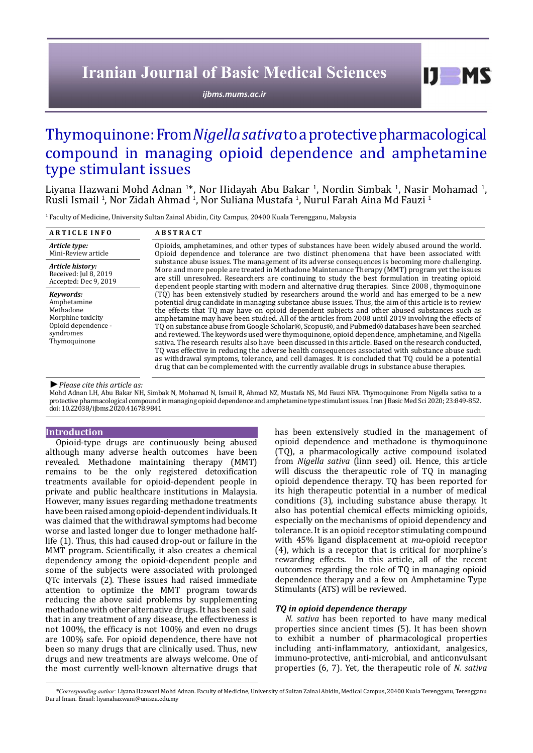# **Iranian Journal of Basic Medical Sciences**

*[ijbms.mums.ac.ir](http://ijbms.mums.ac.ir)*

# Thymoquinone: From *Nigella sativa* to a protective pharmacological compound in managing opioid dependence and amphetamine type stimulant issues

Liyana Hazwani Mohd Adnan <sup>1\*</sup>, Nor Hidayah Abu Bakar <sup>1</sup>, Nordin Simbak <sup>1</sup>, Nasir Mohamad <sup>1</sup> Liyana Hazwani Mohd Adnan <sup>1</sup>\*, Nor Hidayah Abu Bakar <sup>1</sup>, Nordin Simbak <sup>1</sup>, Nasir Mohamad <sup>1</sup>,<br>Rusli Ismail <sup>1</sup>, Nor Zidah Ahmad <sup>1</sup>, Nor Suliana Mustafa <sup>1</sup>, Nurul Farah Aina Md Fauzi <sup>1</sup>

1 Faculty of Medicine, University Sultan Zainal Abidin, City Campus, 20400 Kuala Terengganu, Malaysia

| <b>ARTICLE INFO</b>                                                                                            | <b>ABSTRACT</b>                                                                                                                                                                                                                                                                                                                                                                                                                                                                                                                                                                                                                                                                                                                                                                                                                                                                                                                                                                                                                             |
|----------------------------------------------------------------------------------------------------------------|---------------------------------------------------------------------------------------------------------------------------------------------------------------------------------------------------------------------------------------------------------------------------------------------------------------------------------------------------------------------------------------------------------------------------------------------------------------------------------------------------------------------------------------------------------------------------------------------------------------------------------------------------------------------------------------------------------------------------------------------------------------------------------------------------------------------------------------------------------------------------------------------------------------------------------------------------------------------------------------------------------------------------------------------|
| Article type:<br>Mini-Review article                                                                           | Opioids, amphetamines, and other types of substances have been widely abused around the world.<br>Opioid dependence and tolerance are two distinct phenomena that have been associated with                                                                                                                                                                                                                                                                                                                                                                                                                                                                                                                                                                                                                                                                                                                                                                                                                                                 |
| Article history:<br>Received: Jul 8, 2019<br>Accepted: Dec 9, 2019                                             | substance abuse issues. The management of its adverse consequences is becoming more challenging.<br>More and more people are treated in Methadone Maintenance Therapy (MMT) program yet the issues<br>are still unresolved. Researchers are continuing to study the best formulation in treating opioid<br>dependent people starting with modern and alternative drug therapies. Since 2008, thymoquinone                                                                                                                                                                                                                                                                                                                                                                                                                                                                                                                                                                                                                                   |
| Kevwords:<br>Amphetamine<br>Methadone<br>Morphine toxicity<br>Opioid dependence -<br>syndromes<br>Thymoquinone | (TQ) has been extensively studied by researchers around the world and has emerged to be a new<br>potential drug candidate in managing substance abuse issues. Thus, the aim of this article is to review<br>the effects that TQ may have on opioid dependent subjects and other abused substances such as<br>amphetamine may have been studied. All of the articles from 2008 until 2019 involving the effects of<br>TQ on substance abuse from Google Scholar®, Scopus®, and Pubmed® databases have been searched<br>and reviewed. The keywords used were thymoquinone, opioid dependence, amphetamine, and Nigella<br>sativa. The research results also have been discussed in this article. Based on the research conducted,<br>TQ was effective in reducing the adverse health consequences associated with substance abuse such<br>as withdrawal symptoms, tolerance, and cell damages. It is concluded that TQ could be a potential<br>drug that can be complemented with the currently available drugs in substance abuse therapies. |

*►Please cite this article as:*

Mohd Adnan LH, Abu Bakar NH, Simbak N, Mohamad N, Ismail R, Ahmad NZ, Mustafa NS, Md Fauzi NFA. Thymoquinone: From Nigella sativa to a protective pharmacological compound in managing opioid dependence and amphetamine type stimulant issues. Iran J Basic Med Sci 2020; 23:849-852. doi: 10.22038/ijbms.2020.41678.9841

### **Introduction**

Opioid-type drugs are continuously being abused although many adverse health outcomes have been revealed. Methadone maintaining therapy (MMT) remains to be the only registered detoxification treatments available for opioid-dependent people in private and public healthcare institutions in Malaysia. However, many issues regarding methadone treatments have been raised among opioid-dependent individuals. It was claimed that the withdrawal symptoms had become worse and lasted longer due to longer methadone halflife (1). Thus, this had caused drop-out or failure in the MMT program. Scientifically, it also creates a chemical dependency among the opioid-dependent people and some of the subjects were associated with prolonged QTc intervals (2). These issues had raised immediate attention to optimize the MMT program towards reducing the above said problems by supplementing methadone with other alternative drugs. It has been said that in any treatment of any disease, the effectiveness is not 100%, the efficacy is not 100% and even no drugs are 100% safe. For opioid dependence, there have not been so many drugs that are clinically used. Thus, new drugs and new treatments are always welcome. One of the most currently well-known alternative drugs that

has been extensively studied in the management of opioid dependence and methadone is thymoquinone (TQ), a pharmacologically active compound isolated from *Nigella sativa* (linn seed) oil. Hence, this article will discuss the therapeutic role of TQ in managing opioid dependence therapy. TQ has been reported for its high therapeutic potential in a number of medical conditions (3), including substance abuse therapy. It also has potential chemical effects mimicking opioids, especially on the mechanisms of opioid dependency and tolerance. It is an opioid receptor stimulating compound with 45% ligand displacement at *mu*-opioid receptor (4), which is a receptor that is critical for morphine's rewarding effects. In this article, all of the recent outcomes regarding the role of TQ in managing opioid dependence therapy and a few on Amphetamine Type Stimulants (ATS) will be reviewed.

 $I$   $I$   $M$   $S$ 

## *TQ in opioid dependence therapy*

*N. sativa* has been reported to have many medical properties since ancient times (5). It has been shown to exhibit a number of pharmacological properties including anti-inflammatory, antioxidant, analgesics, immuno-protective, anti-microbial, and anticonvulsant properties (6, 7). Yet, the therapeutic role of *N. sativa*

*\*Corresponding author:* Liyana Hazwani Mohd Adnan. Faculty of Medicine, University of Sultan Zainal Abidin, Medical Campus, 20400 Kuala Terengganu, Terengganu Darul Iman. Email: liyanahazwani@unisza.edu.my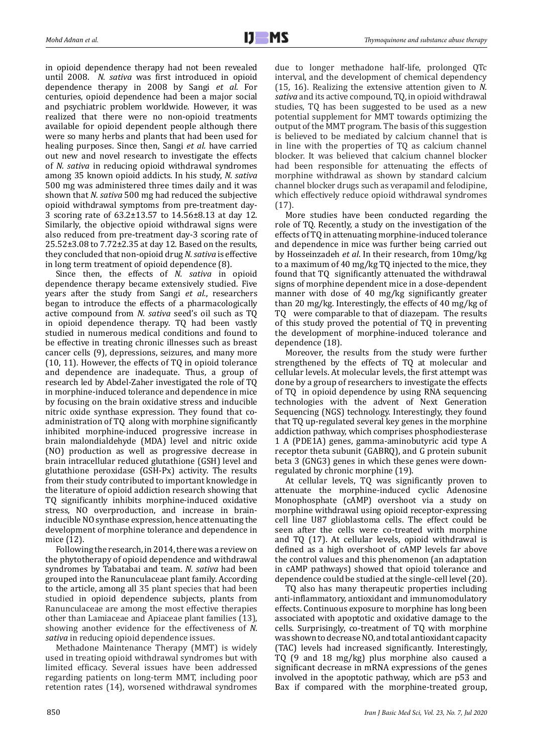in opioid dependence therapy had not been revealed until 2008. *N. sativa* was first introduced in opioid dependence therapy in 2008 by Sangi *et al*. For centuries, opioid dependence had been a major social and psychiatric problem worldwide. However, it was realized that there were no non-opioid treatments available for opioid dependent people although there were so many herbs and plants that had been used for healing purposes. Since then, Sangi *et al.* have carried out new and novel research to investigate the effects of *N. sativa* in reducing opioid withdrawal syndromes among 35 known opioid addicts. In his study, *N. sativa*  500 mg was administered three times daily and it was shown that *N. sativa* 500 mg had reduced the subjective opioid withdrawal symptoms from pre-treatment day-3 scoring rate of 63.2±13.57 to 14.56±8.13 at day 12. Similarly, the objective opioid withdrawal signs were also reduced from pre-treatment day-3 scoring rate of 25.52±3.08 to 7.72±2.35 at day 12. Based on the results, they concluded that non-opioid drug *N. sativa* is effective in long term treatment of opioid dependence (8).

Since then, the effects of *N. sativa* in opioid dependence therapy became extensively studied. Five years after the study from Sangi *et al.*, researchers began to introduce the effects of a pharmacologically active compound from *N. sativa* seed's oil such as TQ in opioid dependence therapy. TQ had been vastly studied in numerous medical conditions and found to be effective in treating chronic illnesses such as breast cancer cells (9), depressions, seizures, and many more (10, 11). However, the effects of TQ in opioid tolerance and dependence are inadequate. Thus, a group of research led by Abdel-Zaher investigated the role of TQ in morphine-induced tolerance and dependence in mice by focusing on the brain oxidative stress and inducible nitric oxide synthase expression. They found that coadministration of TQ along with morphine significantly inhibited morphine-induced progressive increase in brain malondialdehyde (MDA) level and nitric oxide (NO) production as well as progressive decrease in brain intracellular reduced glutathione (GSH) level and glutathione peroxidase (GSH-Px) activity. The results from their study contributed to important knowledge in the literature of opioid addiction research showing that TQ significantly inhibits morphine-induced oxidative stress, NO overproduction, and increase in braininducible NO synthase expression, hence attenuating the development of morphine tolerance and dependence in mice (12).

Following the research, in 2014, there was a review on the phytotherapy of opioid dependence and withdrawal syndromes by Tabatabai and team. *N. sativa* had been grouped into the Ranunculaceae plant family. According to the article, among all 35 plant species that had been studied in opioid dependence subjects, plants from Ranunculaceae are among the most effective therapies other than Lamiaceae and Apiaceae plant families (13), showing another evidence for the effectiveness of *N. sativa* in reducing opioid dependence issues.

Methadone Maintenance Therapy (MMT) is widely used in treating opioid withdrawal syndromes but with limited efficacy. Several issues have been addressed regarding patients on long-term MMT, including poor retention rates (14), worsened withdrawal syndromes

due to longer methadone half-life, prolonged QTc interval, and the development of chemical dependency (15, 16). Realizing the extensive attention given to *N. sativa* and its active compound, TQ, in opioid withdrawal studies, TQ has been suggested to be used as a new potential supplement for MMT towards optimizing the output of the MMT program. The basis of this suggestion is believed to be mediated by calcium channel that is in line with the properties of TQ as calcium channel blocker. It was believed that calcium channel blocker had been responsible for attenuating the effects of morphine withdrawal as shown by standard calcium channel blocker drugs such as verapamil and felodipine, which effectively reduce opioid withdrawal syndromes (17).

More studies have been conducted regarding the role of TQ. Recently, a study on the investigation of the effects of TQ in attenuating morphine-induced tolerance and dependence in mice was further being carried out by Hosseinzadeh *et al*. In their research, from 10mg/kg to a maximum of 40 mg/kg TQ injected to the mice, they found that TQ significantly attenuated the withdrawal signs of morphine dependent mice in a dose-dependent manner with dose of 40 mg/kg significantly greater than 20 mg/kg. Interestingly, the effects of 40 mg/kg of TQ were comparable to that of diazepam. The results of this study proved the potential of TQ in preventing the development of morphine-induced tolerance and dependence (18).

Moreover, the results from the study were further strengthened by the effects of TQ at molecular and cellular levels. At molecular levels, the first attempt was done by a group of researchers to investigate the effects of TQ in opioid dependence by using RNA sequencing technologies with the advent of Next Generation Sequencing (NGS) technology. Interestingly, they found that TQ up-regulated several key genes in the morphine addiction pathway, which comprises phosphodiesterase 1 A (PDE1A) genes, gamma-aminobutyric acid type A receptor theta subunit (GABRQ), and G protein subunit beta 3 (GNG3) genes in which these genes were downregulated by chronic morphine (19).

At cellular levels, TQ was significantly proven to attenuate the morphine-induced cyclic Adenosine Monophosphate (cAMP) overshoot via a study on morphine withdrawal using opioid receptor-expressing cell line U87 glioblastoma cells. The effect could be seen after the cells were co-treated with morphine and TQ (17). At cellular levels, opioid withdrawal is defined as a high overshoot of cAMP levels far above the control values and this phenomenon (an adaptation in cAMP pathways) showed that opioid tolerance and dependence could be studied at the single-cell level (20).

TQ also has many therapeutic properties including anti-inflammatory, antioxidant and immunomodulatory effects. Continuous exposure to morphine has long been associated with apoptotic and oxidative damage to the cells. Surprisingly, co-treatment of TQ with morphine was shown to decrease NO, and total antioxidant capacity (TAC) levels had increased significantly. Interestingly, TQ (9 and 18 mg/kg) plus morphine also caused a significant decrease in mRNA expressions of the genes involved in the apoptotic pathway, which are p53 and Bax if compared with the morphine-treated group,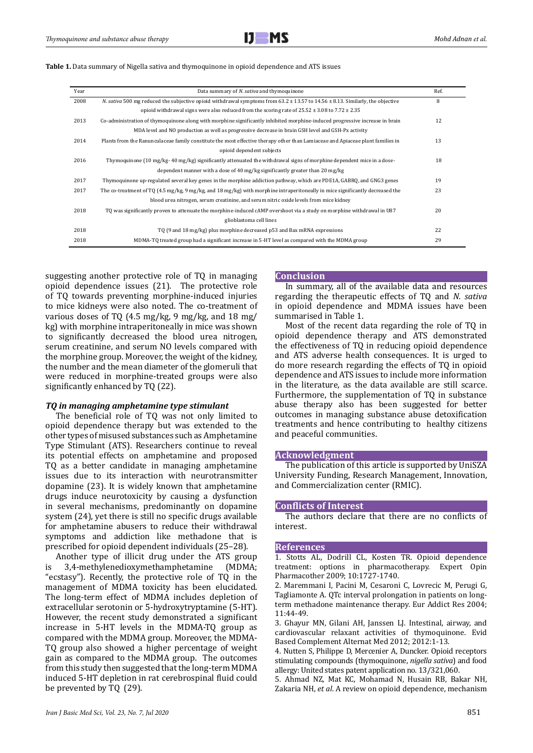| <b>Table 1.</b> Data summary of Nigella sativa and thymoquinone in opioid dependence and ATS issues |  |  |
|-----------------------------------------------------------------------------------------------------|--|--|
|-----------------------------------------------------------------------------------------------------|--|--|

| Year | Data summary of N. sativa and thymoquinone                                                                                                                      | Ref. |
|------|-----------------------------------------------------------------------------------------------------------------------------------------------------------------|------|
| 2008 | N. sativa 500 mg reduced the subjective opioid withdrawal symptoms from $63.2 \pm 13.57$ to $14.56 \pm 8.13$ . Similarly, the objective                         | 8    |
|      | opioid withdrawal signs were also reduced from the scoring rate of $25.52 \pm 3.08$ to $7.72 \pm 2.35$                                                          |      |
| 2013 | Co-administration of thymoquinone along with morphine significantly inhibited morphine-induced progressive increase in brain                                    | 12   |
|      | MDA level and NO production as well as progressive decrease in brain GSH level and GSH-Px activity                                                              |      |
| 2014 | Plants from the Ranunculaceae family constitute the most effective therapy other than Lamiaceae and Apiaceae plant families in                                  | 13   |
|      | opioid dependent subjects                                                                                                                                       |      |
| 2016 | Thymoquinone (10 mg/kg- 40 mg/kg) significantly attenuated the withdrawal signs of morphine dependent mice in a dose-                                           | 18   |
|      | dependent manner with a dose of 40 $mg/kg$ significantly greater than 20 $mg/kg$                                                                                |      |
| 2017 | Thymoquinone up-regulated several key genes in the morphine addiction pathway, which are PDE1A, GABRQ, and GNG3 genes                                           | 19   |
| 2017 | The co-treatment of TQ $(4.5 \text{ mg/kg}, 9 \text{ mg/kg}, \text{and } 18 \text{ mg/kg})$ with morphine intraperitoneally in mice significantly decreased the | 23   |
|      | blood urea nitrogen, serum creatinine, and serum nitric oxide levels from mice kidney                                                                           |      |
| 2018 | TO was significantly proven to attenuate the morphine-induced cAMP overshoot via a study on morphine withdrawal in U87                                          | 20   |
|      | glioblastoma cell lines                                                                                                                                         |      |
| 2018 | TQ (9 and 18 mg/kg) plus morphine decreased p53 and Bax mRNA expressions                                                                                        | 22   |
| 2018 | MDMA-TQ treated group had a significant increase in 5-HT level as compared with the MDMA group                                                                  | 29   |
|      |                                                                                                                                                                 |      |

suggesting another protective role of TQ in managing opioid dependence issues (21). The protective role of TQ towards preventing morphine-induced injuries to mice kidneys were also noted. The co-treatment of various doses of TQ (4.5 mg/kg, 9 mg/kg, and 18 mg/ kg) with morphine intraperitoneally in mice was shown to significantly decreased the blood urea nitrogen, serum creatinine, and serum NO levels compared with the morphine group. Moreover, the weight of the kidney, the number and the mean diameter of the glomeruli that were reduced in morphine-treated groups were also significantly enhanced by TQ (22).

### *TQ in managing amphetamine type stimulant*

The beneficial role of TQ was not only limited to opioid dependence therapy but was extended to the other types of misused substances such as Amphetamine Type Stimulant (ATS). Researchers continue to reveal its potential effects on amphetamine and proposed TQ as a better candidate in managing amphetamine issues due to its interaction with neurotransmitter dopamine (23). It is widely known that amphetamine drugs induce neurotoxicity by causing a dysfunction in several mechanisms, predominantly on dopamine system (24), yet there is still no specific drugs available for amphetamine abusers to reduce their withdrawal symptoms and addiction like methadone that is prescribed for opioid dependent individuals (25–28).

Another type of illicit drug under the ATS group<br>3,4-methylenedioxymethamphetamine (MDMA;  $is$  3,4-methylenedioxymethamphetamine "ecstasy"). Recently, the protective role of TQ in the management of MDMA toxicity has been elucidated. The long-term effect of MDMA includes depletion of extracellular serotonin or 5-hydroxytryptamine (5-HT). However, the recent study demonstrated a significant increase in 5-HT levels in the MDMA-TQ group as compared with the MDMA group. Moreover, the MDMA-TQ group also showed a higher percentage of weight gain as compared to the MDMA group. The outcomes from this study then suggested that the long-term MDMA induced 5-HT depletion in rat cerebrospinal fluid could be prevented by TQ (29).

## **Conclusion**

In summary, all of the available data and resources regarding the therapeutic effects of TQ and *N. sativa* in opioid dependence and MDMA issues have been summarised in Table 1.

Most of the recent data regarding the role of TQ in opioid dependence therapy and ATS demonstrated the effectiveness of TQ in reducing opioid dependence and ATS adverse health consequences. It is urged to do more research regarding the effects of TQ in opioid dependence and ATS issues to include more information in the literature, as the data available are still scarce. Furthermore, the supplementation of TQ in substance abuse therapy also has been suggested for better outcomes in managing substance abuse detoxification treatments and hence contributing to healthy citizens and peaceful communities.

#### **Acknowledgment**

The publication of this article is supported by UniSZA University Funding, Research Management, Innovation, and Commercialization center (RMIC).

#### **Conflicts of Interest**

The authors declare that there are no conflicts of interest.

#### **References**

1. Stotts AL, Dodrill CL, Kosten TR. Opioid dependence treatment: options in pharmacotherapy. Expert Opin Pharmacother 2009; 10:1727-1740.

2. Maremmani I, Pacini M, Cesaroni C, Lovrecic M, Perugi G, Tagliamonte A. QTc interval prolongation in patients on longterm methadone maintenance therapy. Eur Addict Res 2004; 11:44-49.

3. Ghayur MN, Gilani AH, Janssen LJ. Intestinal, airway, and cardiovascular relaxant activities of thymoquinone. Evid Based Complement Alternat Med 2012; 2012:1-13.

4. Nutten S, Philippe D, Mercenier A, Duncker. Opioid receptors stimulating compounds (thymoquinone, *nigella sativa*) and food allergy: United states patent application no. 13/321,060.

5. Ahmad NZ, Mat KC, Mohamad N, Husain RB, Bakar NH, Zakaria NH, *et al*. A review on opioid dependence, mechanism